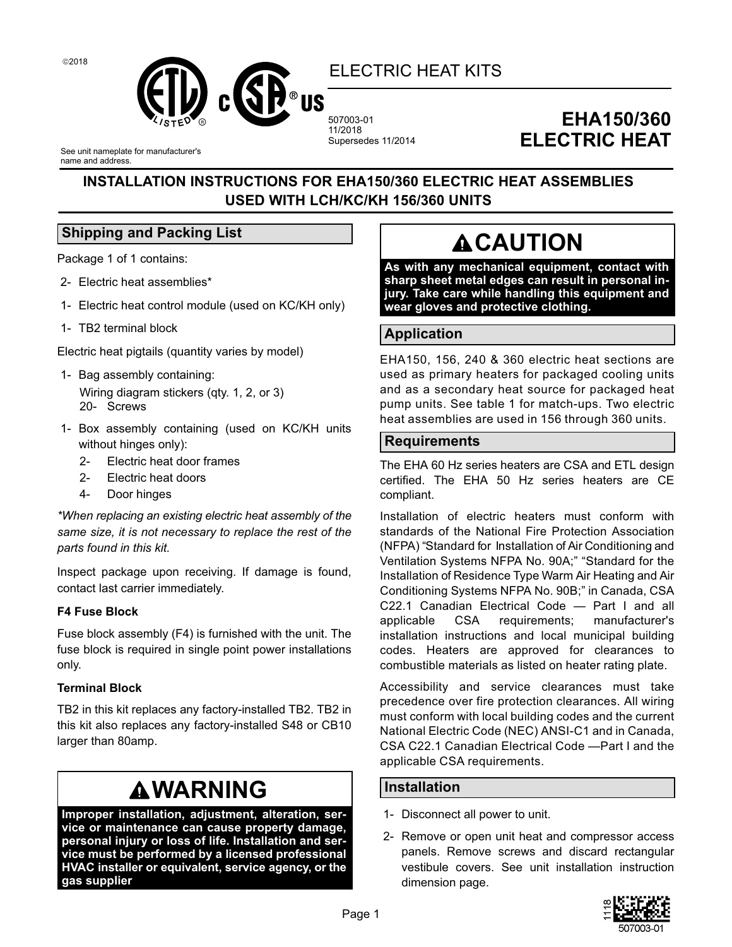

507003-01 11/2018 Supersedes 11/2014

### **EHA150/360 ELECTRIC HEAT**

See unit nameplate for manufacturer's name and address.

### **INSTALLATION INSTRUCTIONS FOR EHA150/360 ELECTRIC HEAT ASSEMBLIES USED WITH LCH/KC/KH 156/360 UNITS**

### **Shipping and Packing List**

Package 1 of 1 contains:

- 2- Electric heat assemblies\*
- 1- Electric heat control module (used on KC/KH only)
- 1- TB2 terminal block

Electric heat pigtails (quantity varies by model)

- 1- Bag assembly containing: Wiring diagram stickers (qty. 1, 2, or 3) 20- Screws
- 1- Box assembly containing (used on KC/KH units without hinges only):
	- 2- Electric heat door frames
	- 2- Electric heat doors
	- 4- Door hinges

*\*When replacing an existing electric heat assembly of the same size, it is not necessary to replace the rest of the parts found in this kit.*

Inspect package upon receiving. If damage is found, contact last carrier immediately.

### **F4 Fuse Block**

Fuse block assembly (F4) is furnished with the unit. The fuse block is required in single point power installations only.

### **Terminal Block**

TB2 in this kit replaces any factory-installed TB2. TB2 in this kit also replaces any factory-installed S48 or CB10 larger than 80amp.

### **WARNING**

**Improper installation, adjustment, alteration, service or maintenance can cause property damage, personal injury or loss of life. Installation and service must be performed by a licensed professional HVAC installer or equivalent, service agency, or the gas supplier**

### **ACAUTION**

**As with any mechanical equipment, contact with sharp sheet metal edges can result in personal injury. Take care while handling this equipment and wear gloves and protective clothing.**

### **Application**

EHA150, 156, 240 & 360 electric heat sections are used as primary heaters for packaged cooling units and as a secondary heat source for packaged heat pump units. See table 1 for match-ups. Two electric heat assemblies are used in 156 through 360 units.

### **Requirements**

The EHA 60 Hz series heaters are CSA and ETL design certified. The EHA 50 Hz series heaters are CE compliant.

Installation of electric heaters must conform with standards of the National Fire Protection Association (NFPA) "Standard for Installation of Air Conditioning and Ventilation Systems NFPA No. 90A;" "Standard for the Installation of Residence Type Warm Air Heating and Air Conditioning Systems NFPA No. 90B;" in Canada, CSA C22.1 Canadian Electrical Code — Part I and all applicable CSA requirements; manufacturer's installation instructions and local municipal building codes. Heaters are approved for clearances to combustible materials as listed on heater rating plate.

Accessibility and service clearances must take precedence over fire protection clearances. All wiring must conform with local building codes and the current National Electric Code (NEC) ANSI-C1 and in Canada, CSA C22.1 Canadian Electrical Code —Part I and the applicable CSA requirements.

### **Installation**

- 1- Disconnect all power to unit.
- 2- Remove or open unit heat and compressor access panels. Remove screws and discard rectangular vestibule covers. See unit installation instruction dimension page.

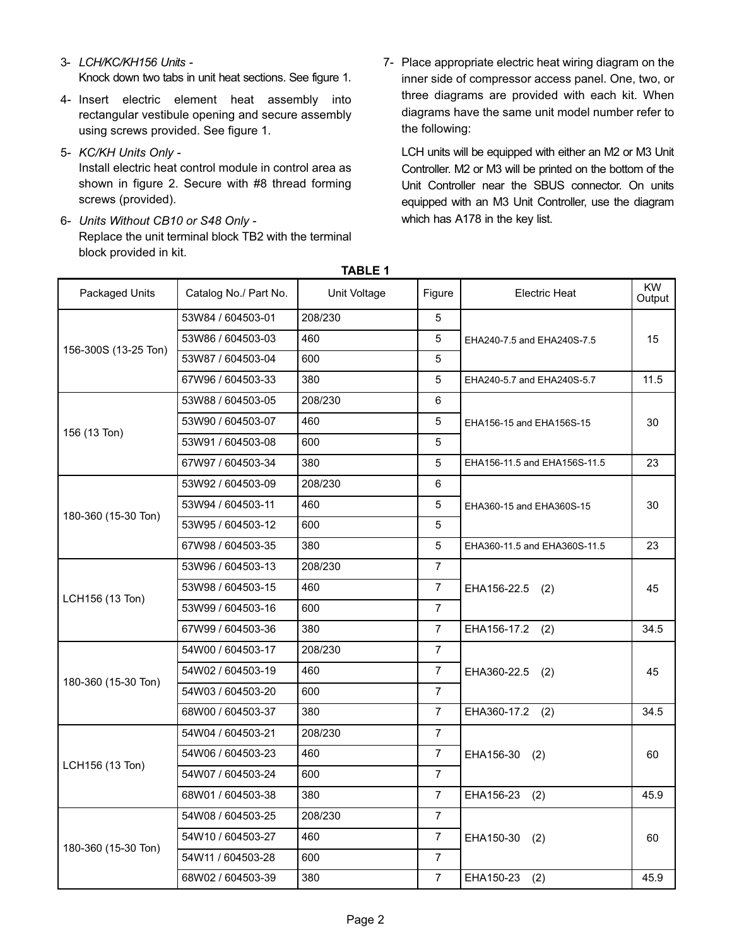### 3- *LCH/KC/KH156 Units -* Knock down two tabs in unit heat sections. See figure 1.

- 4- Insert electric element heat assembly into rectangular vestibule opening and secure assembly using screws provided. See figure 1.
- 5- *KC/KH Units Only -*

Install electric heat control module in control area as shown in figure 2. Secure with #8 thread forming screws (provided).

- 6- *Units Without CB10 or S48 Only -* Replace the unit terminal block TB2 with the terminal block provided in kit.
- 7- Place appropriate electric heat wiring diagram on the inner side of compressor access panel. One, two, or three diagrams are provided with each kit. When diagrams have the same unit model number refer to the following:

LCH units will be equipped with either an M2 or M3 Unit Controller. M2 or M3 will be printed on the bottom of the Unit Controller near the SBUS connector. On units equipped with an M3 Unit Controller, use the diagram which has A178 in the key list.

| Packaged Units       | Catalog No./ Part No. | Unit Voltage | Figure         | Electric Heat                | <b>KW</b><br>Output |
|----------------------|-----------------------|--------------|----------------|------------------------------|---------------------|
|                      | 53W84 / 604503-01     | 208/230      | 5              |                              |                     |
|                      | 53W86 / 604503-03     | 460          | 5              | EHA240-7.5 and EHA240S-7.5   | 15                  |
| 156-300S (13-25 Ton) | 53W87 / 604503-04     | 600          | 5              |                              |                     |
|                      | 67W96 / 604503-33     | 380          | 5              | EHA240-5.7 and EHA240S-5.7   | 11.5                |
|                      | 53W88 / 604503-05     | 208/230      | 6              |                              |                     |
| 156 (13 Ton)         | 53W90 / 604503-07     | 460          | 5              | EHA156-15 and EHA156S-15     | 30                  |
|                      | 53W91 / 604503-08     | 600          | 5              |                              |                     |
|                      | 67W97 / 604503-34     | 380          | 5              | EHA156-11.5 and EHA156S-11.5 | 23                  |
|                      | 53W92 / 604503-09     | 208/230      | 6              |                              |                     |
| 180-360 (15-30 Ton)  | 53W94 / 604503-11     | 460          | 5              | EHA360-15 and EHA360S-15     | 30                  |
|                      | 53W95 / 604503-12     | 600          | 5              |                              |                     |
|                      | 67W98 / 604503-35     | 380          | 5              | EHA360-11.5 and EHA360S-11.5 | 23                  |
|                      | 53W96 / 604503-13     | 208/230      | $\overline{7}$ |                              |                     |
|                      | 53W98 / 604503-15     | 460          | $\overline{7}$ | EHA156-22.5<br>(2)           | 45                  |
| LCH156 (13 Ton)      | 53W99 / 604503-16     | 600          | $\overline{7}$ |                              |                     |
|                      | 67W99 / 604503-36     | 380          | $\overline{7}$ | EHA156-17.2<br>(2)           | 34.5                |
|                      | 54W00 / 604503-17     | 208/230      | $\overline{7}$ |                              |                     |
|                      | 54W02 / 604503-19     | 460          | $\overline{7}$ | EHA360-22.5<br>(2)           | 45                  |
| 180-360 (15-30 Ton)  | 54W03 / 604503-20     | 600          | $\overline{7}$ |                              |                     |
|                      | 68W00 / 604503-37     | 380          | $\overline{7}$ | EHA360-17.2<br>(2)           | 34.5                |
|                      | 54W04 / 604503-21     | 208/230      | 7              |                              |                     |
|                      | 54W06 / 604503-23     | 460          | $\overline{7}$ | EHA156-30<br>(2)             | 60                  |
| LCH156 (13 Ton)      | 54W07 / 604503-24     | 600          | $\overline{7}$ |                              |                     |
|                      | 68W01 / 604503-38     | 380          | $\overline{7}$ | EHA156-23<br>(2)             | 45.9                |
|                      | 54W08 / 604503-25     | 208/230      | $\overline{7}$ |                              |                     |
|                      | 54W10 / 604503-27     | 460          | $\overline{7}$ | EHA150-30<br>(2)             | 60                  |
| 180-360 (15-30 Ton)  | 54W11 / 604503-28     | 600          | $\overline{7}$ |                              |                     |
|                      | 68W02 / 604503-39     | 380          | $\overline{7}$ | EHA150-23<br>(2)             | 45.9                |

**TABLE 1**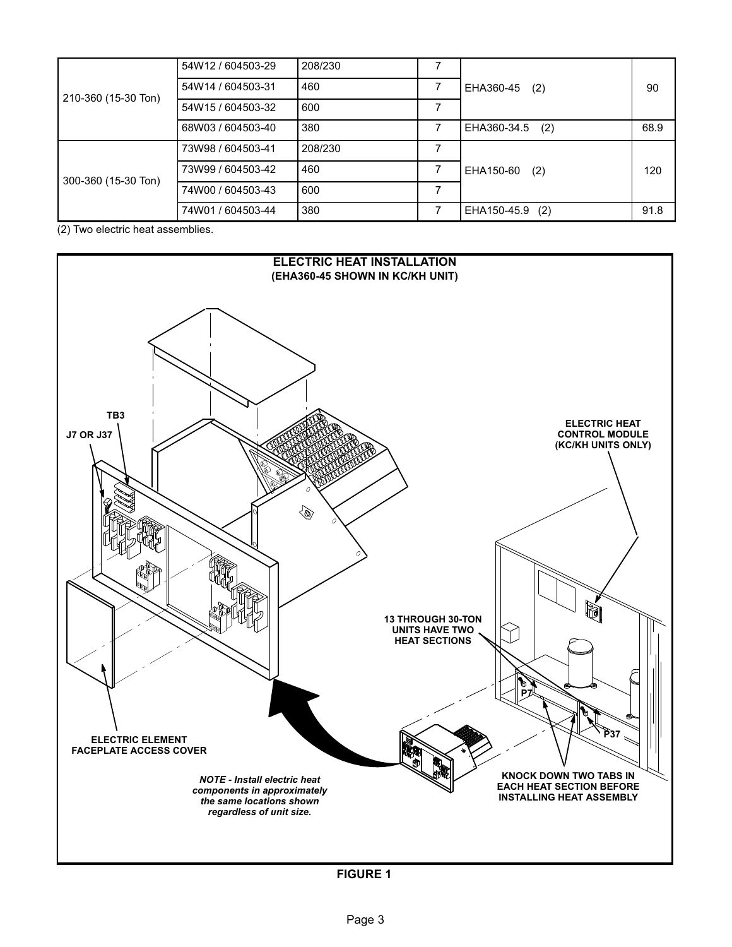|                     | 54W12 / 604503-29 | 208/230 | 7 |                 |      |
|---------------------|-------------------|---------|---|-----------------|------|
|                     | 54W14 / 604503-31 | 460     |   | EHA360-45 (2)   | 90   |
| 210-360 (15-30 Ton) | 54W15 / 604503-32 | 600     | 7 |                 |      |
|                     | 68W03 / 604503-40 | 380     | 7 | EHA360-34.5 (2) | 68.9 |
|                     | 73W98 / 604503-41 | 208/230 | 7 |                 |      |
|                     | 73W99 / 604503-42 | 460     |   | EHA150-60 (2)   | 120  |
| 300-360 (15-30 Ton) | 74W00 / 604503-43 | 600     | 7 |                 |      |
|                     | 74W01 / 604503-44 | 380     |   | EHA150-45.9 (2) | 91.8 |

(2) Two electric heat assemblies.



**FIGURE 1**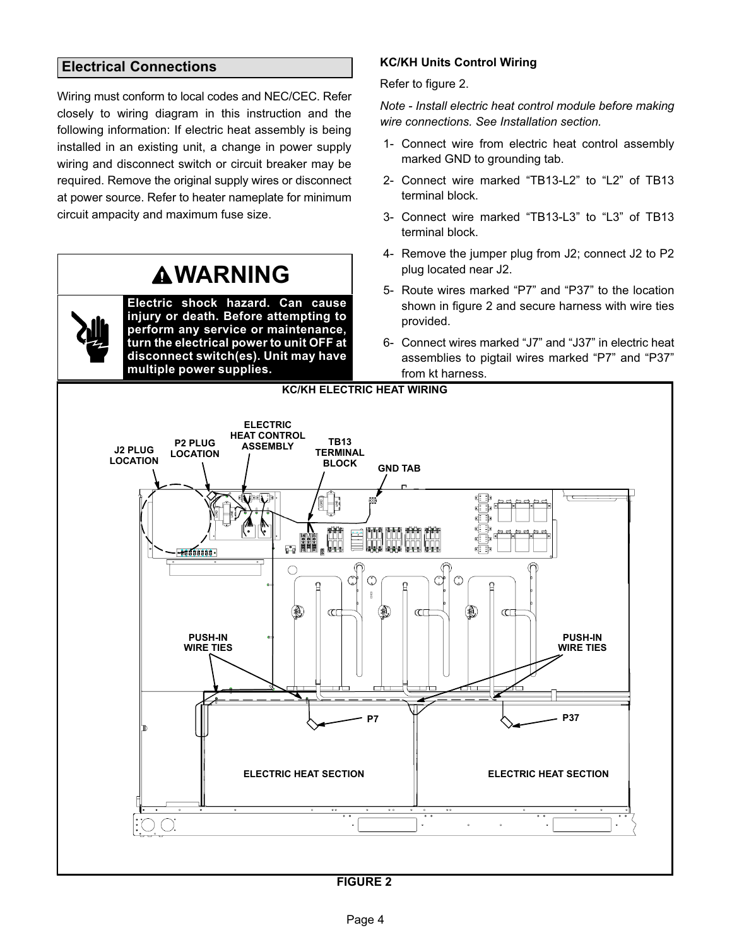### **Electrical Connections**

Wiring must conform to local codes and NEC/CEC. Refer closely to wiring diagram in this instruction and the following information: If electric heat assembly is being installed in an existing unit, a change in power supply wiring and disconnect switch or circuit breaker may be required. Remove the original supply wires or disconnect at power source. Refer to heater nameplate for minimum circuit ampacity and maximum fuse size.

### **WARNING Electric shock hazard. Can cause injury or death. Before attempting to perform any service or maintenance, turn the electrical power to unit OFF at disconnect switch(es). Unit may have multiple power supplies. ELECTRIC**

### **KC/KH Units Control Wiring**

Refer to figure 2.

*Note - Install electric heat control module before making wire connections. See Installation section.*

- 1- Connect wire from electric heat control assembly marked GND to grounding tab.
- 2- Connect wire marked "TB13-L2" to "L2" of TB13 terminal block.
- 3- Connect wire marked "TB13-L3" to "L3" of TB13 terminal block.
- 4- Remove the jumper plug from J2; connect J2 to P2 plug located near J2.
- 5- Route wires marked "P7" and "P37" to the location shown in figure 2 and secure harness with wire ties provided.
- 6- Connect wires marked "J7" and "J37" in electric heat assemblies to pigtail wires marked "P7" and "P37" from kt harness.

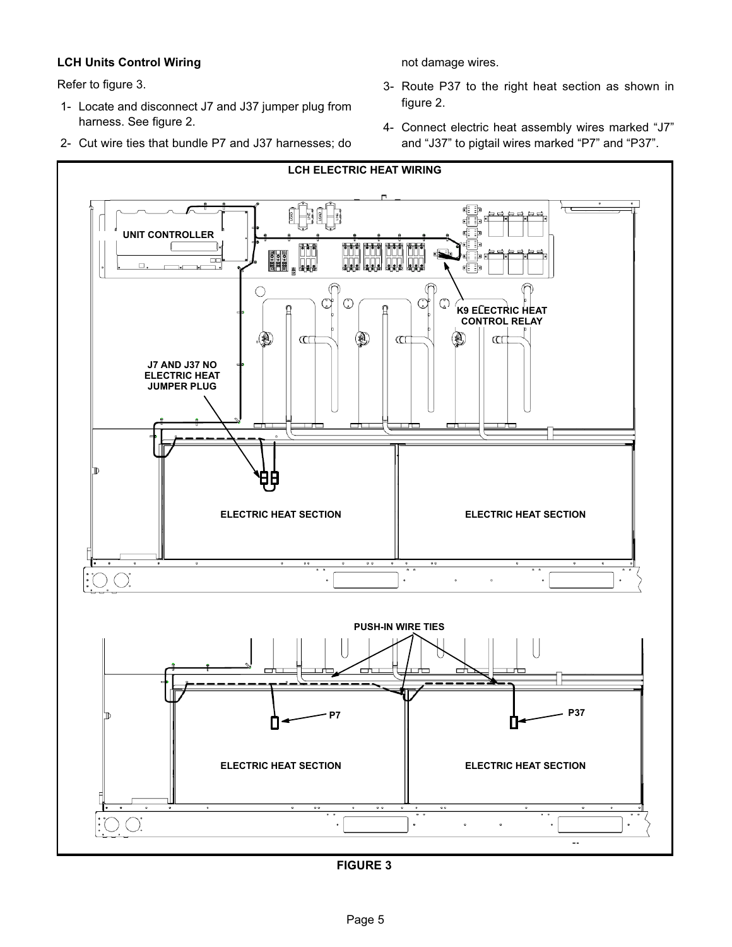### **LCH Units Control Wiring**

Refer to figure 3.

- 1- Locate and disconnect J7 and J37 jumper plug from harness. See figure 2.
- 2- Cut wire ties that bundle P7 and J37 harnesses; do

not damage wires.

- 3- Route P37 to the right heat section as shown in figure 2.
- 4- Connect electric heat assembly wires marked "J7" and "J37" to pigtail wires marked "P7" and "P37".



**FIGURE 3**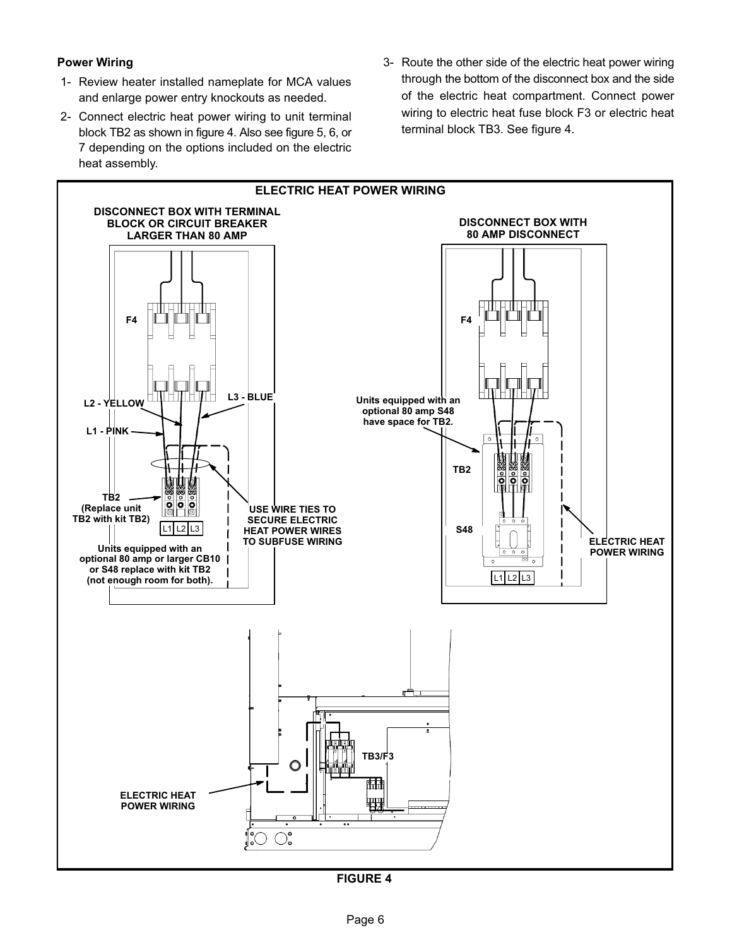### **Power Wiring**

- 1- Review heater installed nameplate for MCA values and enlarge power entry knockouts as needed.
- 2- Connect electric heat power wiring to unit terminal block TB2 as shown in figure 4. Also see figure 5, 6, or 7 depending on the options included on the electric heat assembly.
- 3- Route the other side of the electric heat power wiring through the bottom of the disconnect box and the side of the electric heat compartment. Connect power wiring to electric heat fuse block F3 or electric heat terminal block TB3. See figure 4.



**FIGURE 4**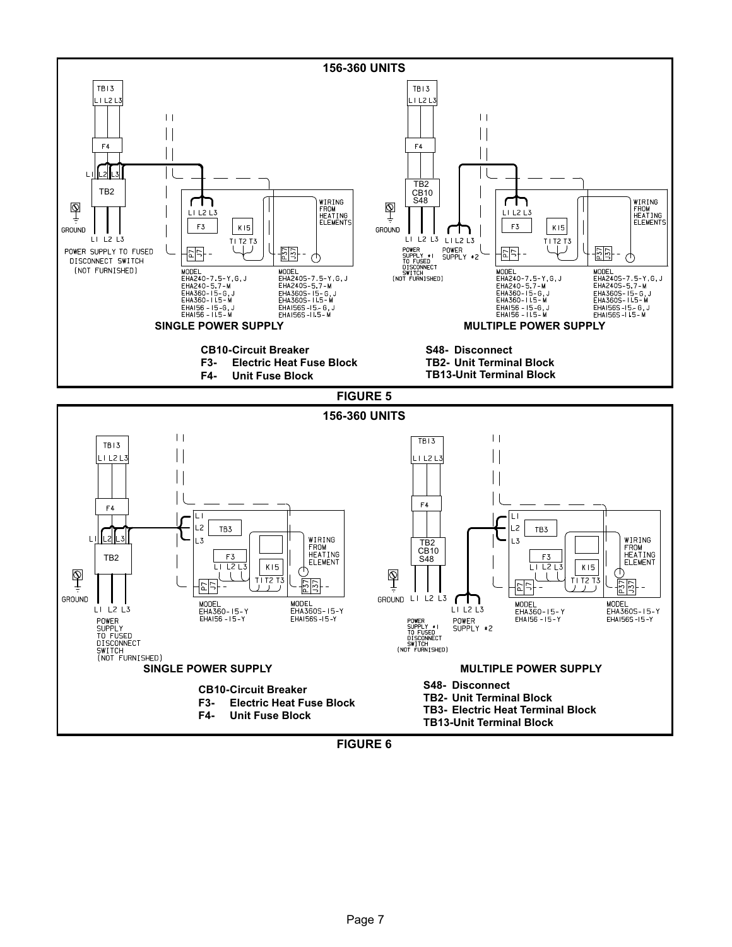

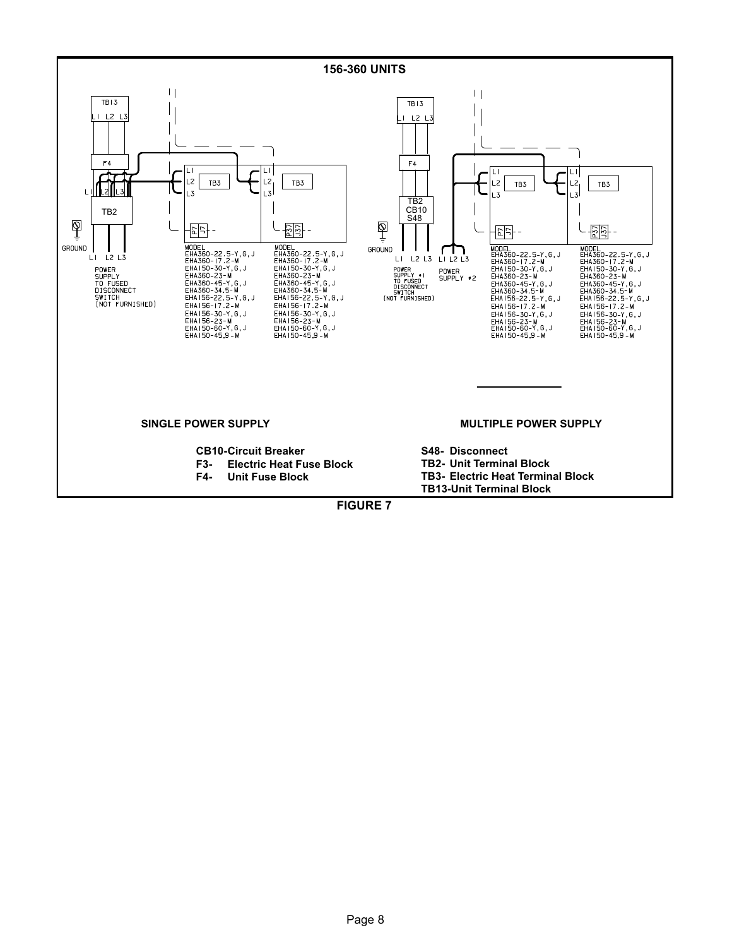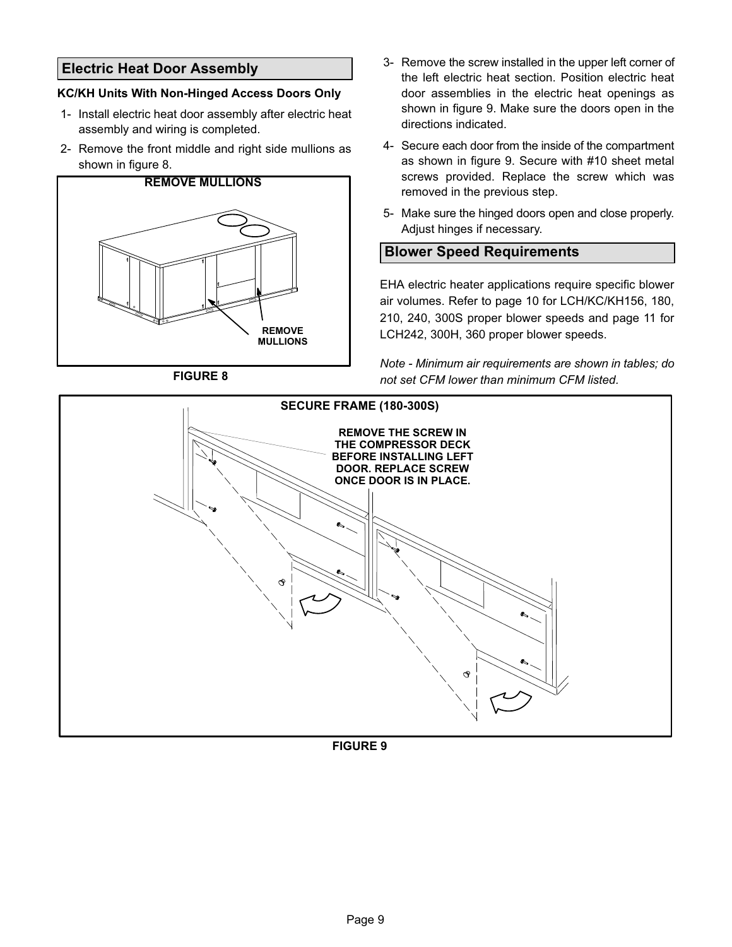### **Electric Heat Door Assembly**

### **KC/KH Units With Non-Hinged Access Doors Only**

- 1- Install electric heat door assembly after electric heat assembly and wiring is completed.
- 2- Remove the front middle and right side mullions as shown in figure 8.



**FIGURE 8**

- 3- Remove the screw installed in the upper left corner of the left electric heat section. Position electric heat door assemblies in the electric heat openings as shown in figure 9. Make sure the doors open in the directions indicated.
- 4- Secure each door from the inside of the compartment as shown in figure 9. Secure with #10 sheet metal screws provided. Replace the screw which was removed in the previous step.
- 5- Make sure the hinged doors open and close properly. Adjust hinges if necessary.

### **Blower Speed Requirements**

EHA electric heater applications require specific blower air volumes. Refer to page 10 for LCH/KC/KH156, 180, 210, 240, 300S proper blower speeds and page 11 for LCH242, 300H, 360 proper blower speeds.

*Note - Minimum air requirements are shown in tables; do not set CFM lower than minimum CFM listed.*



**FIGURE 9**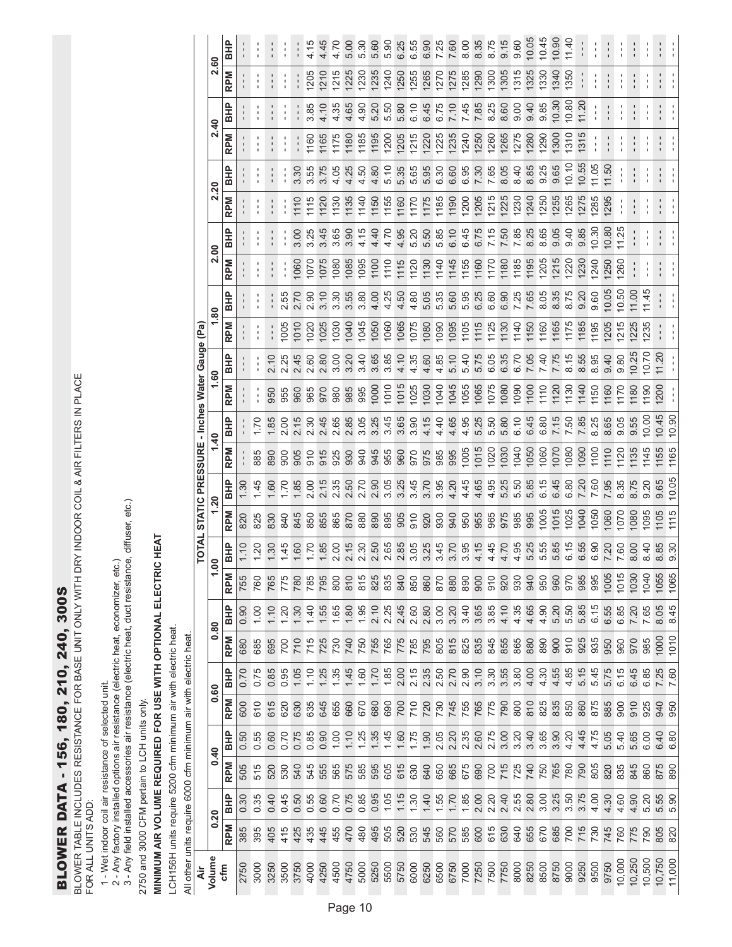### BLOWER DATA - 156, 180, 210, 240, 300S BLOWER DATA - 156, 180, 210, 240, 300S

BLOWER TABLE INCLUDES RESISTANCE FOR BASE UNIT ONLY WITH DRY INDOOR COIL & AIR FILTERS IN PLACE<br>FOR ALL UNITS ADD: BLOWER TABLE INCLUDES RESISTANCE FOR BASE UNIT ONLY WITH DRY INDOOR COIL & AIR FILTERS IN PLACE FOR ALL UNITS ADD:

- 1 Wet indoor coil air resistance of selected unit.
- 2 Any factory installed options air resistance (electric heat, economizer, etc.)
- 1 Wet indoor coil air resistance of selected unit.<br>2 Any factory installed options air resistance (electric heat, economizer, etc.)<br>3 Any field installed accessories air resistance (electric heat, duct resistance, di 3 - Any field installed accessories air resistance (electric heat, duct resistance, diffuser, etc.)

2750 and 3000 CFM pertain to LCH units only. 2750 and 3000 CFM pertain to LCH units only.

## MINIMUM AIR VOLUME REQUIRED FOR USE WITH OPTIONAL ELECTRIC HEAT **MINIMUM AIR VOLUME REQUIRED FOR USE WITH OPTIONAL ELECTRIC HEAT**

LCH156H units require 5200 cfm minimum air with electric heat. LCH156H units require 5200 cfm minimum air with electric heat.

All other units require 6000 cfm minimum air with electric heat.

|                                                                  |                                                 | 2.60                    | <b>BHP</b> |      |                |                |              |                  |                | 4.45             | 4.70 | 5.00                      | 5.30       | 5.60             | 5.30 | 6.25             | 6.55 | 6.90       |                            | .<br>.<br>.  | $\frac{8}{6}$ | 8.35             | 8.75    | 9.15             | 9.60       | 10.05      | 10.45 | 10.90 | 11.40 |              |       | $\begin{array}{c} \rule{0.2cm}{0.15mm} \end{array}$ |        |               |                |       |               |
|------------------------------------------------------------------|-------------------------------------------------|-------------------------|------------|------|----------------|----------------|--------------|------------------|----------------|------------------|------|---------------------------|------------|------------------|------|------------------|------|------------|----------------------------|--------------|---------------|------------------|---------|------------------|------------|------------|-------|-------|-------|--------------|-------|-----------------------------------------------------|--------|---------------|----------------|-------|---------------|
|                                                                  |                                                 |                         | <b>RPM</b> |      |                | $\blacksquare$ |              | $\frac{1}{1}$    | 1205           | <b>210</b>       | 1215 | <b>225</b>                | <b>230</b> | 235              | 1240 | 1250             | 1255 | 1265       | 1270                       | 1275         | 1285          | <b>290</b>       | 1300    | 1305             | 1315       | 1325       | 1330  | 1340  | 1350  |              |       |                                                     |        |               |                | I     |               |
|                                                                  |                                                 |                         | BHP        |      |                |                |              | $\frac{1}{1}$    | 3.85           | 4.10             | 4.35 | 4.65                      | 4.90       | 5.20             | 5.50 | 5.80             | 6.10 | 6.45       | 6.75                       | 7.10         | 7.45          | 7.85             | 8.25    | 8.60             | 0.00       | 9.40       | 9.85  | 10.30 | 10.80 | 11.20        |       |                                                     |        |               |                |       |               |
|                                                                  |                                                 | 2.40                    | <b>RPM</b> |      |                |                |              |                  | 1160           | 1165             | 1175 | 1180                      | 1185       | 1195             | 1200 | 1205             | 1215 | 1220       | 1225                       | <b>1235</b>  | 1240          | <b>1250</b>      | 1260    | 1265             | 1275       | 1280       | 1290  | 1300  | 1310  | 1315         |       |                                                     |        |               |                |       |               |
|                                                                  |                                                 |                         | <b>BHP</b> |      |                | I.             |              | 3.30             | 3.55           | 3.75             | 4.05 | 4.25                      | 4.50       | 4.80             | 5.10 | 5.35             | 5.65 | 5.95       | 6.30                       | 6.60         | 6.95          | .30              | 7.65    | 8.05             | 8.40       | 8.85       | 9.25  | 9.65  | 10.10 | 10.55        | 11.05 | 11.50                                               |        | $\frac{1}{1}$ |                | l.    | $\frac{1}{1}$ |
|                                                                  |                                                 | 2.20                    | <b>RPM</b> |      | ı              | J.             |              | 1110             | 1115           | 1120             | 1130 | 1135                      | 1140       | 1150             | 1155 | 1160             | 1170 | 1175       | 1185                       | 1190         | 1200          | <b>1205</b>      | 1215    | 1225             | 1230       | 1240       | 1250  | 1255  | 1265  | 1275         | 1285  | 1295                                                |        |               | J              | ÷.    | ł             |
|                                                                  |                                                 |                         | <b>BHP</b> |      |                |                |              | 3.00             | 3.25           | 3.45             | 3.65 | 3.90                      | 4.15       | 4.40             | 4.70 | 4.95             | 5.20 | 5.50       | 5.85                       | 6.10         | 45<br>ق       | 6.75             | 7.15    | 7.50             | 7.85       | 8.25       | 8.65  | 9.05  | 0.40  | 9.85         | 10.30 | 10.80                                               | 11.25  |               |                | ı     | ı             |
|                                                                  |                                                 | 2.00                    | <b>RPM</b> |      |                | I              |              | 1060             | 1070           | 1075             | 1080 | 1085                      | 1095       | 1100             | 1110 | 1115             | 120  | <b>130</b> | 1140                       | 1145         | 1155          | 1160             | 1170    | 1180             | 1185       | 1195       | 1205  | 1215  | 1220  | 1230         | 1240  | 1250                                                | 1260   |               |                |       |               |
|                                                                  |                                                 | 1.80                    | <b>BHP</b> |      |                |                | 2.55         | 2.70             | 2.90           | 3.10             | 3.30 | 3.55                      | 3.80       | 4.00             | 4.25 | 4.50             | 4.80 | 5.05       | 5.35                       | 5.60         | 5.95          | 6.25             | 6.60    | 6.90             | 7.25       | 7.65       | 8.05  | 8.35  | 8.75  | 9.20         | 9.60  | 10.05                                               | 10.50  | 11.00         | 11.45          |       |               |
|                                                                  |                                                 |                         | <b>RPM</b> |      |                | $\frac{1}{1}$  | 1005         | 1010             | 1020           | 1025             | 1030 | 1040                      | 1045       | 1050             | 060  | 1065             | 1075 | 1080       | 1090                       | 1095         | 1105          | 1115             | 1125    | 1130             | 1140       | 1150       | 1160  | 1165  | 1175  | 1185         | 1195  | 1205                                                | 1215   | 1225          | 1235           |       | ţ             |
|                                                                  |                                                 |                         | <b>BHP</b> |      |                | 2.10           | 2.25         | 2.45             | 2.60           | 2.80             | 3.00 | 3.20                      | 3.40       | 3.65             | 3.85 | 4.10             | 4.35 | 4.60       | 4.85                       | 5.10         | 5.40          | 5.75             | 6.05    | 6.35             | 6.70       | 7.05       | 7.40  | 7.75  | 8.15  | 8.55         | 8.95  | 9.40                                                | 0.80   | 10.25         | 10.70          | 11.20 | $\frac{1}{1}$ |
|                                                                  |                                                 | 1.60                    | <b>RPM</b> |      |                | 950            | 955          | 960              | 965            | 970              | 980  | 985                       | 995        | 1000             | 1010 | 1015             | 1025 | 030        | 1040                       | 1045         | 1055          | 1065             | 1075    | 1080             | 1090       | 1100       | 1110  | 1120  | 1130  | 1140         | 150   | 1160                                                | 1170   | 180           | $\frac{1}{90}$ | 1200  |               |
|                                                                  | TOTAL STATIC PRESSURE - Inches Water Gauge (Pa) | $\overline{4}$          | <b>BHP</b> |      | 021            | 1.85           | 2.00         | 215              | 2.30           | 2.45             | 2.65 | 2.85                      | 3.05       | 3.25             | 3.45 | 3.65             | 3.90 | 4.15       | 4.40                       | 4.65         | 4.95          | 5.25             | 5.50    | 5.80             | 6.10       | 6.45       | 6.80  | 7.15  | 7.50  | 7.85         | 8.25  | 8.65                                                | 9.05   | 9.55          | 10.00          | 10.45 | 10.90         |
|                                                                  |                                                 |                         | <b>RPM</b> |      | 885            | 890            | 600          | 905              | 910            | 915              | 925  | 930                       | 940        | 945              | 955  | 960              | 970  | 975        | 985                        | 995          | 1005          | 1015             | 1020    | 1030             | 1040       | 1050       | 1060  | 1070  | 1080  | 1090         | 1100  | 1110                                                | 1120   | 1135          | 1145           | 1155  | 1165          |
|                                                                  |                                                 |                         | <b>BHP</b> | 1.30 | 1.45           | 0.60           | 1.70         | 1.85             | 200            | 2.15             | 2.35 | 2.50                      | 2.70       | 2.90             | 3.05 | 3.25             | 3.45 | 3.70       | 3.95                       | 4.20         | 4.45          | 4.65             | 4.95    | 5.25             | 5.50       | 5.85       | 6.15  | 6.45  | 6.80  | 7.20         | 7.60  | 7.95                                                | 8.35   | 8.75          | 0.20           | 9.65  | 10.05         |
|                                                                  |                                                 | 1.20                    | <b>RPM</b> | 820  | 825            | 830            | 840          | 845              | 850            | 855              | 865  | 870                       | 880        | 890              | 895  | 905              | 910  | 920        | 930                        | 940          | 950           | 955              | 965     | 975              | 985        | 995        | 1005  | 1015  | 1025  | 1040         | 1050  | 1060                                                | 1070   | 1080          | 095            | 1105  | 1115          |
|                                                                  |                                                 | 8                       | <b>BHP</b> | 1.10 | $\overline{5}$ | 30             | 1.45         | <b>60</b>        | 1.70           | 1.85             | 2.00 | 2.15                      | 2.30       | 2.50             | 2.65 | 2.85             | 3.05 | 3.25       | 3.45                       | 3.70         | 3.95          | 4.15             | 45<br>4 | 4.70             | 4.95       | 5.25       | 5.55  | 5.85  | 6.15  | 6.55         | 6.90  | 7.20                                                | 7.60   | 8.00          | 8.40           | 8.85  | 0.30          |
|                                                                  |                                                 |                         | <b>RPM</b> | 755  | 760            | 765            | 775          | 780              | 785            | 795              | 800  | 810                       | 815        | 825              | 835  | 840              | 850  | 860        | 870                        | 880          | 890           | 900              | 910     | 920              | 930        | 940        | 950   | 960   | 970   | 985          | 995   | 1005                                                | 1015   | 1030          | 1040           |       | 1055<br>1065  |
|                                                                  |                                                 | 80                      | <b>BHP</b> | 0.90 | 1.00           | 1.10           | 1.20         | 1.30             | 1.40           | 1.55             | 1.65 | 1.80                      | 1.95       | $2.10$<br>$2.25$ |      | 2.45<br>2.60     |      | 2.80       | 3.00                       | 3.20         | 3.40          | 3.65             | 3.85    | 4.10             | 4.35       | 4.65       | 4.90  | 5.20  | 5.50  | 5.85<br>6.15 |       | 6.55                                                | 6.85   | 7.20          | 7.65           |       | 8.05<br>8.45  |
|                                                                  |                                                 | ö                       | <b>RPM</b> | 680  | 685            | 695            | 700          |                  | $\frac{5}{12}$ | 725              | 730  | 740                       | 750        | 755<br>765       |      | 775<br>785       |      | 795        | 805                        | 815          | 825           | 835              | 845     | 855              | 865        | 880        | 890   | 900   | 910   | 925          | 935   | 950                                                 | 960    | 970           | 985            | 1000  | 1010          |
|                                                                  |                                                 | 8                       | <b>BHP</b> | 0.70 | 0.75           |                | 0.85<br>0.95 | 1.05             | 1.10           | $1.25$<br>$1.35$ |      | $45076$<br>$750$<br>$750$ |            |                  |      | $2.00$<br>$2.15$ |      | 2.35       | 2.50                       | 2.70         | 2.90          | 3.10             | 3.30    | 3.55             | 3.80       | 4.00       | 4.30  | 4.55  | 4.85  | 5.15         | 5.45  | 5.75                                                | 6.15   | 6.45          | 6.85           | 7.25  |               |
|                                                                  |                                                 | o                       | <b>RPM</b> | 600  | 610            | 615            | 620          | 630              | 635            | 645              | 655  | 660                       | 670        | 680              | 690  | <b>DLZ</b>       |      | 720<br>730 |                            | 745<br>755   |               | 765<br>775       |         | <b>DOS</b>       |            | 810        | 825   | 835   | 850   | 860          | 875   | 885                                                 | 900    | 910           | 925            | 940   | 950           |
|                                                                  |                                                 | $\overline{\mathbf{f}}$ | <b>BHP</b> | 0.50 | 0.55           | 0.60           | 0.70         | 0.75             | 0.85           | 0.90             | 1.00 | 1.10                      | 1.25       | 1.35             | 1.45 | 1.75             |      | 1.90       | 2.05                       | 2.20<br>2.35 |               | 2.60             |         | $3.00$<br>$3.20$ |            | 3.40       | 3.65  | 3.90  | 4.20  | 4.45         | 4.75  | 5.05                                                | 5.40   | 5.65          | 6.00           |       | 6.40<br>6.80  |
|                                                                  |                                                 | o                       | <b>RPM</b> | 505  | 515            | 520            | 530          | 540              | 545            | 555              | 565  | 575                       | 585        | 595              | 605  | 615              | 630  | 640        | 650                        | 665          | 675           | 690              | 700     |                  | 715<br>725 | 740        | 750   | 765   | 780   | <b>DBZ</b>   | 805   | 820                                                 | 835    | 845           | 860            |       | 875<br>890    |
|                                                                  |                                                 |                         | <b>BHP</b> | 0.30 | 0.35           | 0.40           | 0.45         | $0.50$<br>$0.55$ |                | 0.60             | 0.70 | 0.75                      | 0.85       | $0.95$<br>1.05   |      | 1.30             |      |            | $7.56$<br>$7.76$<br>$7.85$ |              |               | $2.00$<br>$2.20$ |         | 2.40<br>2.55     |            | 2.80       | 3.00  | 3.25  | 3.50  | 3.75         | 4.00  | 4.30                                                | 4.60   | 4.90          | 5.20           |       | 5.55<br>5.90  |
|                                                                  |                                                 | 20<br>o                 | <b>RPM</b> | 385  | 395            | 405            | 415          | 425              | 435            | 445              | 455  | 470                       | 480        | 495              | 505  | 520              | 530  | 545        | 560                        | 570<br>585   |               | 600              | 615     | 630              | 640        | 655<br>670 |       | 685   | 700   | 715          | 730   | 745                                                 | 760    | 775           | 790            | 805   | 820           |
| All other units require 6000 cfm minimum air with electric heat. | άr                                              | Volume                  | cfm        | 2750 | 3000           | 3250           | 3500         | 3750             | 4000           | 4250             | 4500 | 4750                      | 5000       | 5250             | 5500 | 5750             | 6000 | 6250       | 6500                       | 6750         | 7000          | 7250             | 7500    | 7750             | 8000       | 8250       | 8500  | 8750  | 9000  | 9250         | 9500  | 9750                                                | 10,000 | 10,250        | 10,500         |       | 10,750        |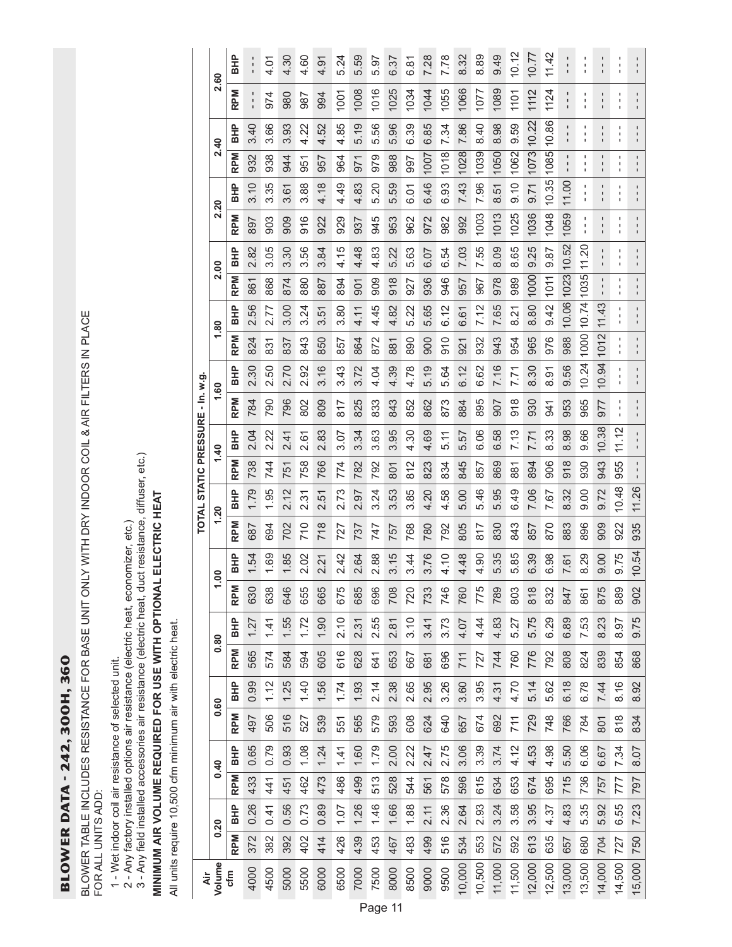**BLOWER DATA - 242, 300H, 360** BLOWER DATA - 242, 300H, 360

BLOWER TABLE INCLUDES RESISTANCE FOR BASE UNIT ONLY WITH DRY INDOOR COIL & AIR FILTERS IN PLACE FOR ALL UNITS ADD:

1 - Wet indoor coil air resistance of selected unit.

2 - Any factory installed options air resistance (electric heat, economizer, etc.)

1 - Wet indoor coil air resistance of selected unit.<br>2 - Any factory installed options air resistance (electric heat, economizer, etc.)<br>3 - Any field installed accessories air resistance (electric heat, duct resistance, di 3 - Any field installed accessories air resistance (electric heat, duct resistance, diffuser, etc.)

# MINIMUM AIR VOLUME REQUIRED FOR USE WITH OPTIONAL ELECTRIC HEAT **MINIMUM AIR VOLUME REQUIRED FOR USE WITH OPTIONAL ELECTRIC HEAT**

All units require 10,500 cfm minimum air with electric heat. All units require 10,500 cfm minimum air with electric heat.

|                       | 2.60           | <b>BHP</b> |            | 4.01                 | 4.30                          | 4.60            | 4.91                    | 5.24           | 5.59     | 5.97                   | 6.37    | 6.81 | 7.28         | 7.78    | 8.32   | 8.89    | 9.49   | 10.12         | 10.77         | 11.42                | ı                                | ı      | $\mathbf I$              |        |        |
|-----------------------|----------------|------------|------------|----------------------|-------------------------------|-----------------|-------------------------|----------------|----------|------------------------|---------|------|--------------|---------|--------|---------|--------|---------------|---------------|----------------------|----------------------------------|--------|--------------------------|--------|--------|
|                       |                | <b>RPM</b> |            | 974                  | 980                           | 987             | 994                     | $\overline{5}$ | 008      | 1016                   | 1025    | 1034 | 1044         | 1055    | 1066   | 1077    | 1089   | 1101          | 1112          | 1124                 | $\blacksquare$<br>$\mathbf{I}$   | ٠      | п<br>п                   | ı      |        |
|                       | $\frac{4}{3}$  | <b>BHP</b> | 3.40       | 89<br>က်             | 3.93                          | $\approx$<br>4. | 52<br>4                 | 85<br>4        | တ<br>5.1 | 5.56                   | 5.96    | 6.39 | 85<br>.<br>ت | 7.34    | 7.86   | 8.40    | 8.98   | 9.59          | 10.22         | 86<br>ö              | ı                                | ٠      | ı                        |        |        |
|                       |                | <b>RPM</b> | 932        | 938                  | 944                           | 951             | 957                     | 964            | 971      | 979                    | 988     | 997  | 1007         | 1018    | 1028   | 1039    | 1050   | 1062          | 1073          | 1085                 | $\blacksquare$<br>$\blacksquare$ | ı      | п<br>1                   | ٠      |        |
|                       | 2.20           | <b>BHP</b> | 3.10       | 3.35                 | 3.61                          | 3.88            | 4.18                    | 4.49           | 4.83     | 5.20                   | 5.59    | 6.01 | 6.46         | 6.93    | 7.43   | 7.96    | 8.51   | 0.10          | 0.71          | 10.35                | 11.00                            |        | ı                        | ı      |        |
|                       |                | <b>RPM</b> | 897        | 903                  | 909                           | 916             | 922                     | 929            | 937      | 945                    | 953     | 962  | 972          | 982     | 992    | 1003    | 1013   | 1025          | 1036          | 1048                 | 1059                             | ı      | п                        |        |        |
|                       | 2.00           | <b>BHP</b> | 2.82       | 3.05                 | 30<br>က်                      | 56<br>က         | 3.84                    | LO<br>4.1      | 4.48     | 4.83                   | 5.22    | 5.63 | 6.07         | 6.54    | 7.03   | 7.55    | 8.09   | 8.65          | 9.25          | 9.87                 | 10.52                            | 11.20  | п                        | ı      |        |
|                       |                | <b>RPM</b> | 861        | 868                  | 874                           | 880             | 887                     | 894            | 901      | 909                    | 918     | 927  | 936          | 946     | 957    | 967     | 978    | 989           | 1000          | 1011                 | 10.06 1023                       | 1035   | ı<br>1<br>$\blacksquare$ |        |        |
|                       | 1.80           | <b>BHP</b> | 56<br>Ñ    | 77<br><br>N          | 8<br>က                        | 24<br>ന്        | 51<br>က                 | 80<br>ო        | 4.11     | 4.45                   | 4.82    | 5.22 | 5.65         | 6.12    | 6.61   | 7.12    | 7.65   | 8.21          | 80<br>ထဲ      | 9.42                 |                                  | 10.74  | 11.43                    |        |        |
|                       |                | <b>RPM</b> | 824        | 831                  | 837                           | 843             | 850                     | 857            | 864      | 872                    | 881     | 890  | 900          | 910     | 921    | 932     | 943    | 954           | 965           | 976                  | 988                              | 1000   | 1012                     |        |        |
| $-$ In. w.g.          | $\frac{60}{ }$ | <b>BHP</b> | 2.30       | 50                   | 20<br>$\overline{\mathsf{N}}$ | 2.92            | 3.16                    | 43<br>ო        | 3.72     | 4.04                   | 4.39    | 4.78 | 5.19         | 5.64    | 6.12   | 6.62    | 7.16   | 7.71          | 8.30          | <u>ଚ</u><br>$\infty$ | 9.56                             | 10.24  | 10.94                    |        |        |
|                       |                | <b>RPM</b> | 784        | 790                  | 796                           | 802             | 809                     | 817            | 825      | 833                    | 843     | 852  | 862          | 873     | 884    | 895     | 505    | $\frac{8}{9}$ | 930           | 941                  | 953                              | 965    | <b>LL6</b>               | 1      |        |
|                       | 1.40           | <b>BHP</b> | 2.04       | $\overline{c}$<br>Μi | $\frac{4}{1}$<br>N            | 67<br>نہ        | 83<br>Νi                | <b>3.07</b>    | 3.34     | 3.63                   | 3.95    | 4.30 | 4.69         | 5.11    | 5.57   | 6.06    | 6.58   | 7.13          | 7.71          | 8.33                 | $\overline{98}$<br>ထဲ            | 9.66   | 10.38                    | 11.12  |        |
|                       |                | <b>RPM</b> | 738        | 744                  | 751                           | 758             | 766                     | 774            | 782      | 792                    | 801     | 812  | 823          | 834     | 845    | 857     | 869    | 881           | 894           | 906                  | 918                              | 930    | 943                      | 955    |        |
| TOTAL STATIC PRESSURE |                | <b>BHP</b> | 1.79       | 95                   | 2.12                          | 231<br>2        | 5<br>$\mathbf{\dot{v}}$ | 2.73           | 56<br>۲i | 3.24                   | 53<br>ຕ | 3.85 | 20<br>4      | 58<br>4 | 5.00   | 5.46    | 5.95   | 6.49          | 7.06          | $\overline{.67}$     | 8.32                             | 0.00   | 9.72                     | 10.48  | 11.26  |
|                       | 1.20<br>OO.    | <b>RPM</b> | 687        | 694                  | 702                           | 710             | 718                     | 727            | 737      | 747                    | 757     | 768  | 780          | 792     | 805    | 817     | 830    | 843           | 857           | 870                  | 883                              | 896    | 909                      | 922    | 935    |
|                       |                | BHP        | $\ddot{5}$ | 69                   | 85                            | 2.02            | 2.21                    | 2.42           | 2.64     | 2.88                   | 3.15    | 3.44 | 3.76         | 4.10    | 4.48   | 90<br>4 | 5.35   | 5.85          | 6.39          | 6.98                 | 7.61                             | 8.29   | 0.00                     | 9.75   | 10.54  |
|                       |                | <b>RPM</b> | 630        | 638                  | 646                           | 655             | 665                     | 675            | 685      | 696                    | 708     | 720  | 733          | 746     | 760    | 775     | 789    | 803           | $\frac{8}{8}$ | 832                  | 847                              | 861    | 875                      | 889    | 902    |
|                       |                | <b>BHP</b> | 1.27       | 1.41                 | 1.55                          | 1.72            | 1.90                    | 2.10           | 2.31     | 2.55                   | 2.81    | 3.10 | 3.41         | 3.73    | 4.07   | 4.44    | 4.83   | 5.27          | 5.75          | 6.29                 | 6.89                             | 7.53   | 8.23                     | 8.97   | 9.75   |
|                       | 0.80           | <b>RPM</b> | 565        | 574                  | 584                           | 594             | 605                     | 616            | 628      | 641                    | 653     | 667  | 681          | 696     | 711    | 727     | 744    | 760           | 776           | 792                  | 808                              | 824    | 839                      | 854    | 868    |
|                       |                | <b>BHP</b> | 0.99       | 1.12                 | 1.25                          | 1.40            | 1.56                    | 1.74           | 1.93     | 2.14                   | 2.38    | 2.65 | 2.95         | 3.26    | 3.60   | 3.95    | 4.31   | 4.70          | 5.14          | 5.62                 | 6.18                             | 6.78   | 7.44                     | 8.16   | 8.92   |
|                       | 0.60           | <b>RPM</b> | 497        | 506                  | 516                           | 527             | 539                     | 551            | 565      | 579                    | 593     | 608  | 624          | 640     | 657    | 674     | 692    | 711           | 729           | 748                  | 766                              | 784    | 801                      | 818    | 834    |
|                       |                | <b>BHP</b> | 0.65       | 0.79                 | 0.93                          | 1.08            | 1.24                    | 1.41           | 1.60     | 1.79                   | 2.00    | 2.22 | 2.47         | 2.75    | 3.06   | 3.39    | 3.74   | 4.12          | 4.53          | 4.98                 | 5.50                             | 6.06   | 6.67                     | 7.34   | 8.07   |
|                       | 0.40           | <b>RPM</b> | 433        | 441                  | 451                           | 462             | 473                     | 486            | 499      | 513                    | 528     | 544  | 561          | 578     | 596    | 615     | 634    | 653           | 674           | 695                  | 715                              | 736    | 757                      | 777    | 797    |
|                       |                | <b>BHP</b> | 0.26       | 0.41                 | 0.56                          | 0.73            | 0.89                    | 1.07           | 1.26     | 1.46                   | 1.66    | 1.88 | 2.11         | 2.36    | 2.64   | 2.93    | 3.24   | 3.58          | 3.95          | 4.37                 | 4.83                             | 5.35   | 5.92                     | 6.55   | 7.23   |
|                       | 0.20           | <b>RPM</b> | 372        | 382                  | 392                           | 402             | 414                     | 426            | 439      | 453                    | 467     | 483  | 499          | 516     | 534    | 553     | 572    | 592           | 613           | 635                  | 657                              | 680    | 704                      | 727    | 750    |
| Äir                   | Volume         | cfm        | 4000       | 4500                 | 5000                          | 5500            | 6000                    | 6500           | 7000     | 7500<br><b>Page 11</b> | 8000    | 8500 | 9000         | 9500    | 10,000 | 10,500  | 11,000 | 11,500        | 12,000        | 12,500               | 13,000                           | 13,500 | 14,000                   | 14,500 | 15,000 |